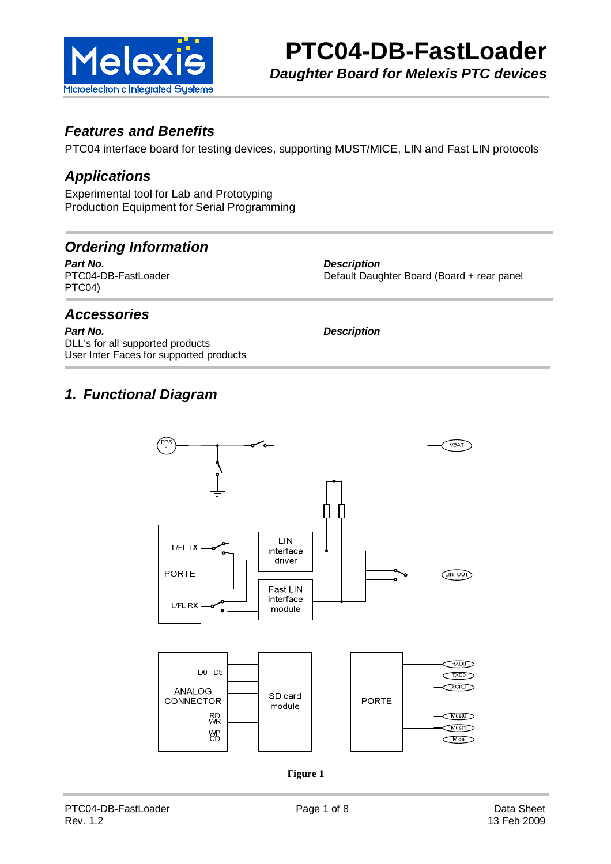

#### **Features and Benefits**

PTC04 interface board for testing devices, supporting MUST/MICE, LIN and Fast LIN protocols

#### **Applications**

Experimental tool for Lab and Prototyping Production Equipment for Serial Programming

#### **Ordering Information**

**Part No.**<br>
PTC04-DB-FastLoader **EXECUTE:**PTC04-DB-FastLoader **EXECUTE:**Default Daug PTC04)

Default Daughter Board (Board + rear panel

#### **Accessories**

**Part No. Description** DLL's for all supported products User Inter Faces for supported products

#### **1. Functional Diagram**



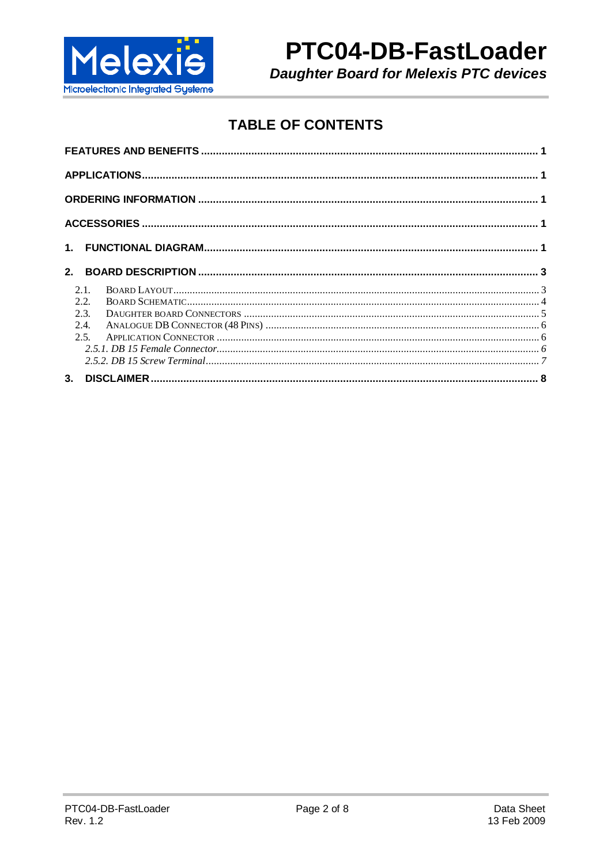

# PTC04-DB-FastLoader

**Daughter Board for Melexis PTC devices** 

### **TABLE OF CONTENTS**

| 2.1          |  |
|--------------|--|
| 2.2.<br>2.3. |  |
| 2.4.         |  |
| 2.5          |  |
|              |  |
|              |  |
| 3.           |  |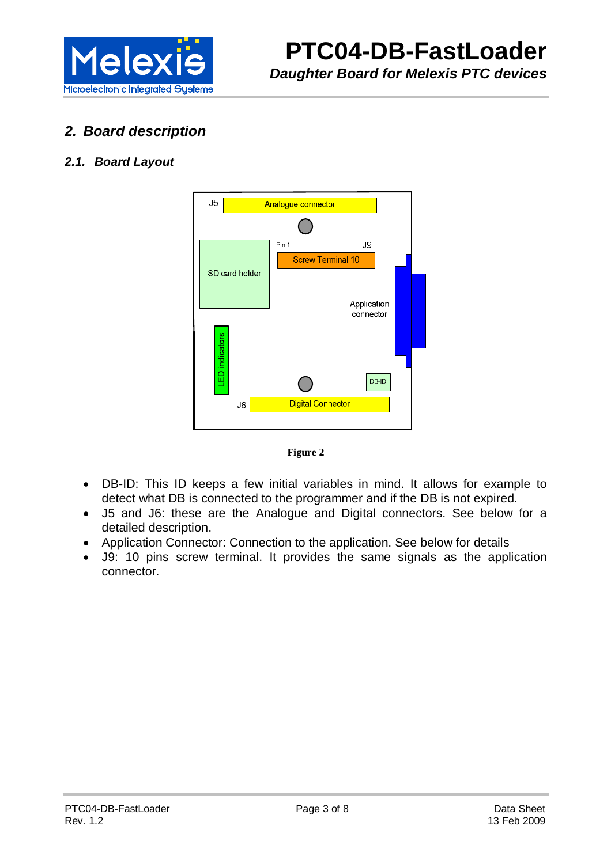

#### **2. Board description**

#### **2.1. Board Layout**





- DB-ID: This ID keeps a few initial variables in mind. It allows for example to detect what DB is connected to the programmer and if the DB is not expired.
- J5 and J6: these are the Analogue and Digital connectors. See below for a detailed description.
- Application Connector: Connection to the application. See below for details
- J9: 10 pins screw terminal. It provides the same signals as the application connector.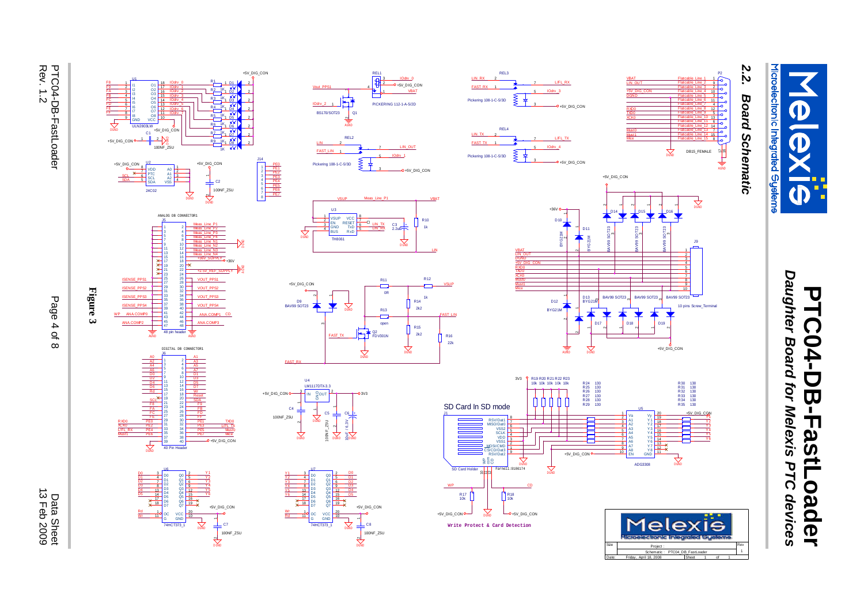

# Daughter Board for Melexis PTC devices **Daughter Board for Melexis PTC devices PTC04-DB-FastLoader** PTC04-DB-FastLoader

# 2.2. **2.2. Board Schematic Board Schematic**

P2











R101k

+5V\_DIG\_CON

VBAT

J1

IOdrv \_<sup>1</sup>

C3 +<br>2.2u<del>F T</del>

LIN\_OUT

PICKERING 112-1-A-5/2D

\_<u>IOdrv\_0</u><br>+5V\_DIG\_CON

VBAT



FAST\_RX

 $\frac{1}{\sqrt{2}}$ 

> C8 100NF\_Z5U DGND -<br>ا

+5V\_DIG\_CON

DGND

BS170/SOT23

FAST\_LIN

IOdrv\_2

Vout\_PPS1

 $\sim$ 

REL1₽

Meas\_Line\_P1

5

 $\overline{\mathsf{F}}$ 

LIN\_TX

LIN\_RX

 $\overline{\phantom{a}}$ 

┝┐⋪

 $\scriptstyle\sim$ 

REL2

2AGND

VSUP

U3

Pickering 108-1-C-5/3D

2 $\frac{4}{2}$ <sub>Ris</sub> <sub>Ryn</sub>  $\frac{15}{2}$ 6VSUP VCC **F** ENGNDBUS RxDVCC<br>RESET<br>TxD

TH<sub>806</sub>



L/FL\_TXMust0<br>Mice

+5V\_DIG\_CON

TXD0

SDA

Reset

Wr

PE3

PE5

PE7

PE1

FB

A3

A1

A7

DIGITAL DB CONNECTOR1

48 pin header

Meas\_Line\_N4

+36V\_SUPPLY

Meas\_Line\_N3

Meas\_Line\_N2

VOUT\_PPS3

VOUT\_PPS4

VOUT\_PPS2

ANA.COMP1

ANA.COMP3

VOUT\_PPS1

+2.5V\_REF\_SUPPLY

Meas\_Line\_P1

Meas\_Line\_P4

Meas\_Line\_N1

Meas\_Line\_P3

Meas\_Line\_P2

DGND<br>DGND

+5V\_DIG\_CON

1K

R31K

R41K

R21K

R11K

R71K

R91K

1K

C2 100NF\_Z5Uا<br>پ

 $1 \t D2 \t 2$ 

 $1 - D1$  2

 $1 \t D3 \t 2$ 

 $1 \tD4$   $2$ 

 $1 \ 1 \ 2$ 

 $1\text{ D6}$   $2$ 

 $1 \cdot D7$   $2$ 

1 D8 2

IOdrv \_<sup>5</sup>

IOdrv \_<sup>4</sup>

IOdrv \_<sup>7</sup>

IOdrv \_6

IOdrv \_<sup>2</sup>

IOdrv \_3

IOdrv \_0

IOdrv \_<sup>1</sup>

U2

ULN2803LW

 $1\frac{10}{9}$   $\frac{10}{9}$   $\frac{10}{9}$   $\frac{10}{9}$ 12131415161718 $\mathsf{I}1$   $\mathsf{I}1$   $\mathsf{I}$ I2I4I5I6GND VCCO8O6O5O4

SCL

SDA

+5V\_DIG\_CON

+5V\_DIG\_CON

U1

46

FE

FB

ISENSE\_PPS4

ISENSE\_PPS3

ISENSE\_PPS2

ANA.COM

ANA.COMP2

ISENSE\_PPS1

C1 1 <sup>2</sup> DGND 100NF\_Z5U

+5V\_DIG\_CON

 $2400$  $\begin{array}{c|cc}\n & \text{YDD} & \text{A0} & \text{1} \\
\hline\n\text{Z} & \text{PTC} & \text{A1} & \text{2} \\
\text{S} & \text{SCL} & \text{A2} & \text{3} \\
\text{S} & \text{SDA} & \text{VSS} & \text{4}\n\end{array}$ 5 A0 A1 A2 VSS PTC<br>SCL<br>SDA VDD

J5

ANALOG DB CONNECTOR1

2731

PE0

FE

FA

PE2

L/FL\_RX

XCK0

DGND

Wr

Rd

D4

SCL

Rd

A6

A4

J6

40 Pin Header



PE0

PE3

PE2<br>PE3<br>PE4<br>PE5<br>PE5

PE1<br>PE2<br>PE3<br>PE4<br>PE4

A GND

+36V

PE6

PE7

+5V\_DIG\_CON

**Figure 3**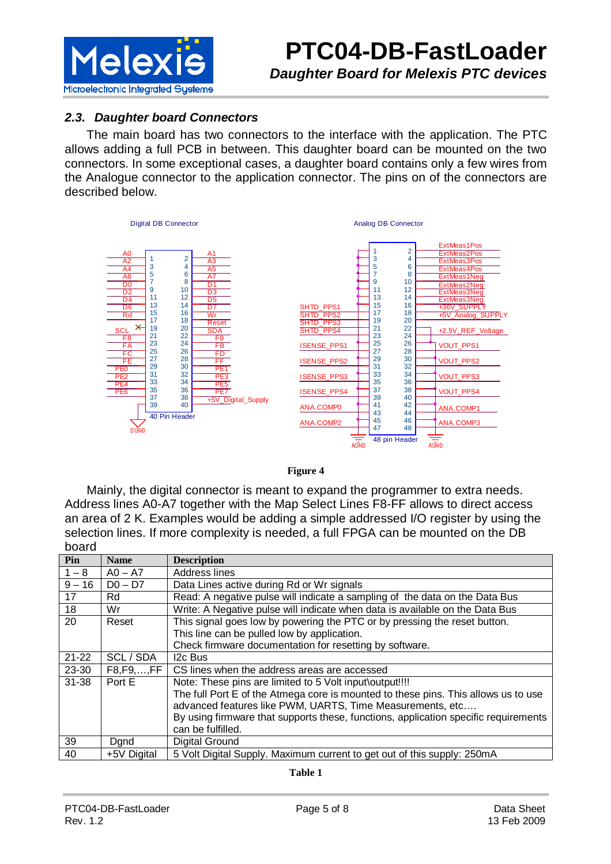

#### **2.3. Daughter board Connectors**

The main board has two connectors to the interface with the application. The PTC allows adding a full PCB in between. This daughter board can be mounted on the two connectors. In some exceptional cases, a daughter board contains only a few wires from the Analogue connector to the application connector. The pins on of the connectors are described below.



#### **Figure 4**

Mainly, the digital connector is meant to expand the programmer to extra needs. Address lines A0-A7 together with the Map Select Lines F8-FF allows to direct access an area of 2 K. Examples would be adding a simple addressed I/O register by using the selection lines. If more complexity is needed, a full FPGA can be mounted on the DB board

| Pin             | <b>Name</b>          | <b>Description</b>                                                                  |
|-----------------|----------------------|-------------------------------------------------------------------------------------|
| $1 - 8$         | $AO - A7$            | Address lines                                                                       |
| $\sqrt{9} - 16$ | $D0 - D7$            | Data Lines active during Rd or Wr signals                                           |
| 17              | Rd                   | Read: A negative pulse will indicate a sampling of the data on the Data Bus         |
| 18              | Wr                   | Write: A Negative pulse will indicate when data is available on the Data Bus        |
| 20              | Reset                | This signal goes low by powering the PTC or by pressing the reset button.           |
|                 |                      | This line can be pulled low by application.                                         |
|                 |                      | Check firmware documentation for resetting by software.                             |
| $21 - 22$       | SCL / SDA            | I <sub>2</sub> c Bus                                                                |
| 23-30           | $F8, F9, \ldots, FF$ | CS lines when the address areas are accessed                                        |
| 31-38           | Port E               | Note: These pins are limited to 5 Volt input\output!!!!                             |
|                 |                      | The full Port E of the Atmega core is mounted to these pins. This allows us to use  |
|                 |                      | advanced features like PWM, UARTS, Time Measurements, etc                           |
|                 |                      | By using firmware that supports these, functions, application specific requirements |
|                 |                      | can be fulfilled.                                                                   |
| 39              | Dand                 | Digital Ground                                                                      |
| 40              | +5V Digital          | 5 Volt Digital Supply. Maximum current to get out of this supply: 250mA             |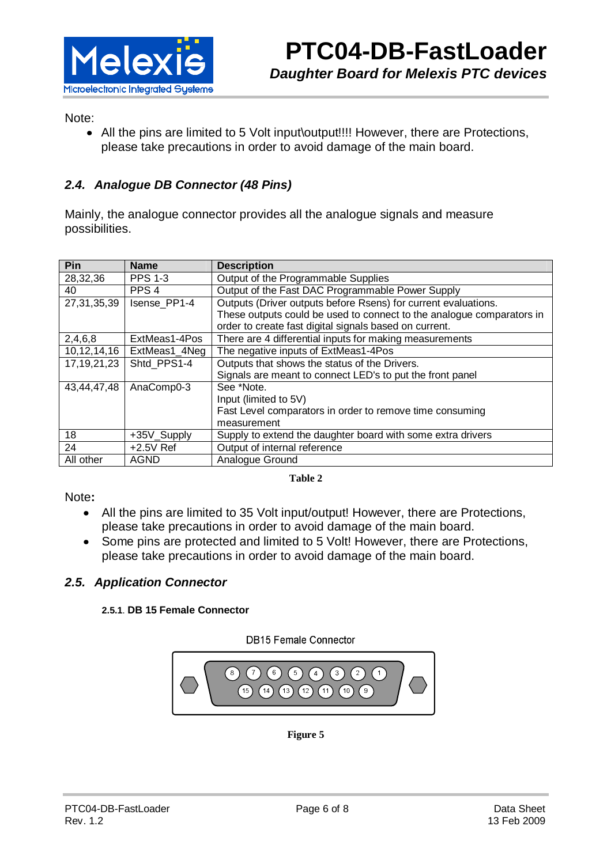

Note:

• All the pins are limited to 5 Volt input\output!!!! However, there are Protections, please take precautions in order to avoid damage of the main board.

#### **2.4. Analogue DB Connector (48 Pins)**

Mainly, the analogue connector provides all the analogue signals and measure possibilities.

| Pin            | <b>Name</b>      | <b>Description</b>                                                    |
|----------------|------------------|-----------------------------------------------------------------------|
| 28,32,36       | <b>PPS 1-3</b>   | Output of the Programmable Supplies                                   |
| 40             | PPS <sub>4</sub> | Output of the Fast DAC Programmable Power Supply                      |
| 27, 31, 35, 39 | Isense PP1-4     | Outputs (Driver outputs before Rsens) for current evaluations.        |
|                |                  | These outputs could be used to connect to the analogue comparators in |
|                |                  | order to create fast digital signals based on current.                |
| 2,4,6,8        | ExtMeas1-4Pos    | There are 4 differential inputs for making measurements               |
| 10, 12, 14, 16 | ExtMeas1_4Neg    | The negative inputs of ExtMeas1-4Pos                                  |
| 17, 19, 21, 23 | Shtd PPS1-4      | Outputs that shows the status of the Drivers.                         |
|                |                  | Signals are meant to connect LED's to put the front panel             |
| 43,44,47,48    | AnaComp0-3       | See *Note.                                                            |
|                |                  | Input (limited to 5V)                                                 |
|                |                  | Fast Level comparators in order to remove time consuming              |
|                |                  | measurement                                                           |
| 18             | +35V_Supply      | Supply to extend the daughter board with some extra drivers           |
| 24             | $+2.5V$ Ref      | Output of internal reference                                          |
| All other      | <b>AGND</b>      | Analogue Ground                                                       |

#### **Table 2**

Note**:** 

- All the pins are limited to 35 Volt input/output! However, there are Protections, please take precautions in order to avoid damage of the main board.
- Some pins are protected and limited to 5 Volt! However, there are Protections, please take precautions in order to avoid damage of the main board.

#### **2.5. Application Connector**

#### **2.5.1**. **DB 15 Female Connector**

**DB15 Female Connector** 



**Figure 5**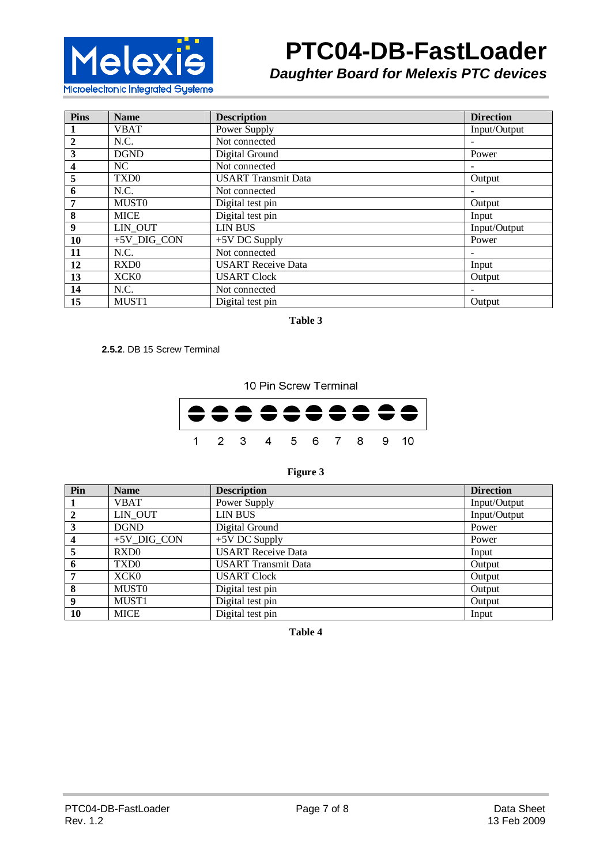

# **PTC04-DB-FastLoader**

**Daughter Board for Melexis PTC devices** 

| <b>Pins</b>             | <b>Name</b>      | <b>Description</b>         | <b>Direction</b> |
|-------------------------|------------------|----------------------------|------------------|
| $\mathbf{1}$            | <b>VBAT</b>      | Power Supply               | Input/Output     |
| $\overline{2}$          | N.C.             | Not connected              |                  |
| 3                       | <b>DGND</b>      | Digital Ground             | Power            |
| $\overline{\mathbf{4}}$ | NC               | Not connected              |                  |
| 5                       | TXD <sub>0</sub> | <b>USART</b> Transmit Data | Output           |
| 6                       | N.C.             | Not connected              |                  |
| 7                       | <b>MUSTO</b>     | Digital test pin           | Output           |
| 8                       | <b>MICE</b>      | Digital test pin           | Input            |
| 9                       | LIN OUT          | <b>LIN BUS</b>             | Input/Output     |
| 10                      | +5V DIG CON      | $+5V$ DC Supply            | Power            |
| 11                      | N.C.             | Not connected              |                  |
| 12                      | RXD <sub>0</sub> | <b>USART</b> Receive Data  | Input            |
| 13                      | XCK <sub>0</sub> | <b>USART Clock</b>         | Output           |
| 14                      | N.C.             | Not connected              |                  |
| <b>15</b>               | MUST1            | Digital test pin           | Output           |

**Table 3** 

 **2.5.2**. DB 15 Screw Terminal

10 Pin Screw Terminal



#### **Figure 3**

| Pin | <b>Name</b>       | <b>Description</b>         | <b>Direction</b> |
|-----|-------------------|----------------------------|------------------|
|     | <b>VBAT</b>       | Power Supply               | Input/Output     |
| 2   | LIN OUT           | <b>LIN BUS</b>             | Input/Output     |
| 3   | <b>DGND</b>       | Digital Ground             | Power            |
| 4   | +5V DIG CON       | $+5V$ DC Supply            | Power            |
| 5   | RXD <sub>0</sub>  | <b>USART</b> Receive Data  | Input            |
| 6   | TXD <sub>0</sub>  | <b>USART</b> Transmit Data | Output           |
|     | XCK0              | <b>USART Clock</b>         | Output           |
| 8   | <b>MUSTO</b>      | Digital test pin           | Output           |
| 9   | MUST <sub>1</sub> | Digital test pin           | Output           |
| 10  | <b>MICE</b>       | Digital test pin           | Input            |

#### **Table 4**